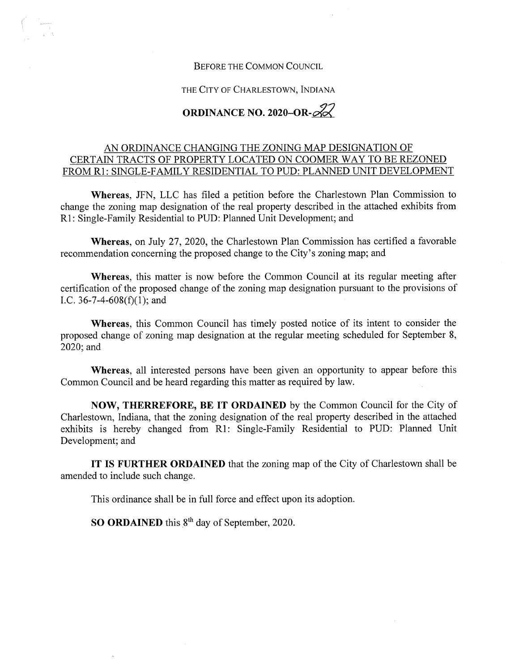## **Before the Common Council**

**THE City of Charlestown, Indiana**

## **ORDINANCE NO. 2020-OR-g^**

## AN ORDINANCE CHANGING THE ZONING MAP DESIGNATION OF CERTAIN TRACTS OF PROPERTY LOCATED ON COOMER WAY TO BE REZONED FROM Rl: SINGLE-FAMILY RESIDENTIAL TO PUD: PLANNED UNIT DEVELOPMENT

**Whereas,** JFN, LLC has filed a petition before the Charlestown Plan Commission to change the zoning map designation of the real property described in the attached exhibits from Rl: Single-Family Residential to PUD: Planned Unit Development; and

**Whereas,** on July **27, 2020,** the Charlestown Plan Commission has certified a favorable recommendation concerning the proposed change to the City's zoning map; and

**Whereas,** this matter is now before the Common Council at its regular meeting after certification of the proposed change of the zoning map designation pursuant to the provisions of I.C. 36-7-4-608(f)(1); and

**Whereas,** this Common Council has timely posted notice of its intent to consider the proposed change of zoning map designation at the regular meeting scheduled for September 8, 2020;and

**Whereas,** all interested persons have been given an opportunity to appear before this Common Council and be heard regarding this matter as required by law.

**NOW, THERREFORE, BE IT ORDAINED** by the Common Council for the City of Charlestown, Indiana, that the zoning designation of the real property described in the attached exhibits is hereby changed from Rl: Single-Family Residential to PUD: Planned Unit Development; and

**IT IS FURTHER ORDAINED** that the zoning map of the City of Charlestown shall be amended to include such change.

This ordinance shall be in full force and effect upon its adoption.

**SO ORDAINED** this 8<sup>th</sup> day of September, 2020.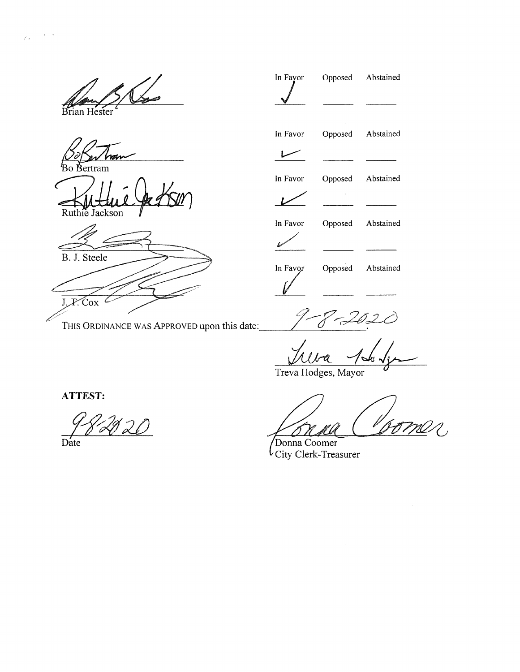Brian Hester

 $\mathcal{A}=\mathcal{A}$ 

 $\tilde{\xi}$  .

 $b_{\rm Bo}$ Bertram

Ruthie Jackson

B. J. Steele  $J.F.$  Cox  $C$ 

**This Ordinance was Approved upon this date;**

| In Favor      | Opposed | Abstained |
|---------------|---------|-----------|
|               |         |           |
| In Favor      | Opposed | Abstained |
|               |         |           |
| In Favor      | Opposed | Abstained |
|               |         |           |
| In Favor      | Opposed | Abstained |
| .<br>Carolina |         |           |
| In Favor      | Opposed | Abstained |
|               |         |           |

 $\mathcal C$ 

ks .

Treva Hodges, Mayor

**ATTEST:**

<u> 120</u>

Date

Donna Coomer